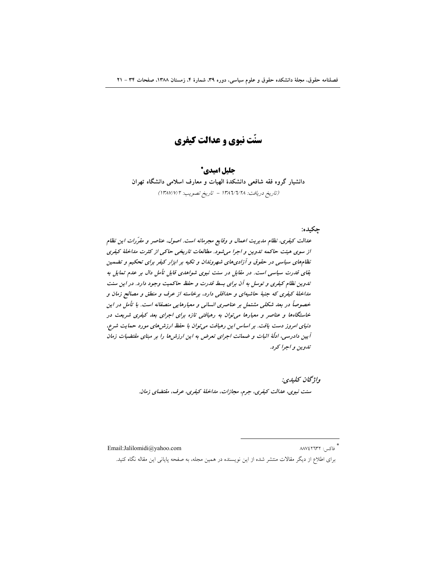سنّت نبوي و عدالت کيفري

### جليل اميدي\*

دانشیار گروه فقه شافعی دانشکدهٔ الهیات و معارف اسلامی دانشگاه تهران (تاريخ دريافت: ١٣٨٦/٢/٢٨ - تاريخ تصويب: ١٣٨٧/٧/٢)

#### چکيده:

عدالت کیفری، نظام مدیریت اعمال و وقایع مجرمانه است. اصول، عناصر و مقرّرات این نظام از سوی هیئت حاکمه تدوین و اجرا می شود. مطالعات تاریخی حاکمی از کثرت مداخلهٔ کیفری نظامهای سیاسی در حقوق و آزادیهای شهروندان و تکیه بر ابزار کیفر برای تحکیم و تضمین بقای قدرت سیاسی است. در مقابل در سنت نبوی شواهدی قابل تأمل دال بر عدم تمایل به تدوین نظام کیفری و توسل به آن برای بسط قدرت و حفظ حاکمیت وجود دارد. در این سنت مداخلهٔ کیفری که جنبهٔ حاشیهای و حداقلی دارد، برخاسته از عرف و منطق و مصالح زمان و خصوصاً در بعد شکلی مشتمل بر عناصری انسانی و معیارهایی منصفانه است. با تأمل در این خاستگاهها و عناصر و معیارها می توان به رهیافتی تازه برای اجرای بعد کیفری شریعت در دنیای امروز دست یافت. بر اساس این رهیافت می توان با حفظ ارزش های مورد حمایت شرع، آیین دادرسی، ادلّهٔ اثبات و ضمانت اجرای تعرض به این ارزش۵ا را بر مبنای مقتضیات زمان تدوين و اجرا كرد.

> واژگان كليدي: سنت نبوی، عدالت کیفری، جرم، مجازات، مداخلهٔ کیفری، عرف، مقتضای زمان.

Email:Jalilomidi@yahoo.com

\* فاکس: ۸۸۷٤۲٦۳۲

برای اطلاع از دیگر مقالات منتشر شده از این نویسنده در همین مجله، به صفحه پایانی این مقاله نگاه کنید.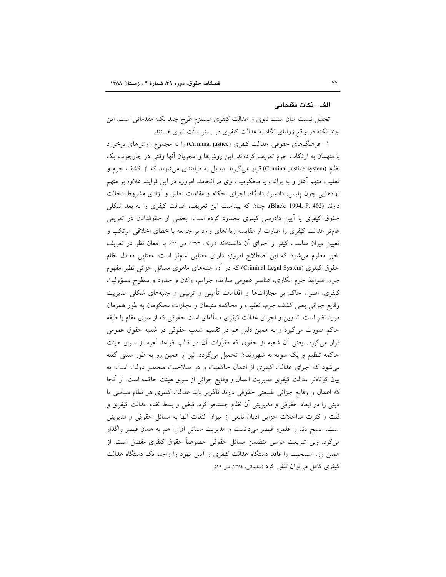#### الف– نكات مقدماتي

تحلیل نسبت میان سنت نبوی و عدالت کیفری مستلزم طرح چند نکته مقدماتی است. این چند نکته در واقع زوایای نگاه به عدالت کیفری در بستر سنّت نبوی هستند.

۱– فرهنگهای حقوقی، عدالت کیفری (Criminal justice) را به مجموع روشهای برخورد با متهمان به ارتکاب جرم تعریف کردهاند. این روشها و مجریان أنها وقتی در چارچوب یک نظام (Criminal justice system) قرار میگیرند تبدیل به فرایندی می شوند که از کشف جرم و تعقیب متهم آغاز و به برائت یا محکومیت وی می[نجامد. امروزه در این فرایند علاوه بر متهم نهادهایی چون پلیس، دادسرا، دادگاه، اجرای احکام و مقامات تعلیق و آزادی مشروط دخالت دارند (Black, 1994, P. 402). چنان که پیداست این تعریف، عدالت کیفری را به بعد شکلی حقوق کیفری یا اَیین دادرسی کیفری محدود کرده است. بعضی از حقوقدانان در تعریفی عامتر عدالت کیفری را عبارت از مقایسه زیانهای وارد بر جامعه با خطای اخلاقی مرتکب و تعیین میزان مناسب کیفر و اجرای أن دانستهاند (بولک، ۱۳۷۲، ص ۲۱). با امعان نظر در تعریف اخیر معلوم میشود که این اصطلاح امروزه دارای معنایی عامتر است؛ معنایی معادل نظام حقوق کیفری (Criminal Legal System) که در آن جنبههای ماهوی مسائل جزائی نظیر مفهوم جرم، ضوابط جرم انگاری، عناصر عمومی سازنده جرایم، ارکان و حدود و سطوح مسؤولیت کیفری، اصول حاکم بر مجازاتها و اقدامات تأمینی و تربیتی و جنبههای شکلی مدیریت وقايع جزائي يعني كشف جرم، تعقيب و محاكمه متهمان و مجازات محكومان به طور همزمان مورد نظر است. تدوین و اجرای عدالت کیفری مسألهای است حقوقی که از سوی مقام یا طبقه حاکم صورت میگیرد و به همین دلیل هم در تقسیم شعب حقوقی در شعبه حقوق عمومی قرار میگیرد. یعنی اّن شعبه از حقوق که مقرّرات اّن در قالب قواعد اَمره از سوی هیئت حاکمه تنظیم و یک سویه به شهروندان تحمیل میگردد. نیز از همین رو به طور سنتی گفته میشود که اجرای عدالت کیفری از اعمال حاکمیت و در صلاحیت منحصر دولت است. به بیان کوتاهتر عدالت کیفری مدیریت اعمال و وقایع جزائی از سوی هیئت حاکمه است. از أنجا که اعمال و وقایع جزائی طبیعتی حقوقی دارند ناگزیر باید عدالت کیفری هر نظام سیاسی یا دینی را در ابعاد حقوقی و مدیریتی آن نظام جستجو کرد. قبض و بسط نظام عدالت کیفری و قلَّت و کثرت مداخلات جزایی ادیان تابعی از میزان التفات آنها به مسائل حقوقی و مدیریتی است. مسیح دنیا را قلمرو قیصر میدانست و مدیریت مسائل أن را هم به همان قیصر واگذار میکرد. ولی شریعت موسی متضمن مسائل حقوقی خصوصاً حقوق کیفری مفصل است. از همین رو، مسیحیت را فاقد دستگاه عدالت کیفری و آیین یهود را واجد یک دستگاه عدالت کیفری کامل می توان تلقی کرد (سلیمانی، ۱۳۸٤، ص ۲۹).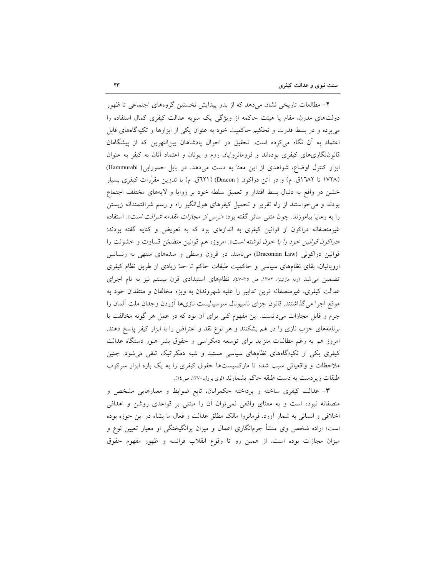۲- مطالعات تاریخی نشان می دهد که از بدو پیدایش نخستین گروههای اجتماعی تا ظهور دولتهای مدرن، مقام یا هیئت حاکمه از ویژگی یک سویه عدالت کیفری کمال استفاده را میبرده و در بسط قدرت و تحکیم حاکمیت خود به عنوان یکی از ابزارها و تکیهگاههای قابل اعتماد به آن نگاه میکرده است. تحقیق در احوال پادشاهان بینالنهرین که از پیشگامان قانوننگاریهای کیفری بودهاند و فرومانروایان روم و یونان و اعتماد آنان به کیفر به عنوان ابزار کنترل اوضاع، شواهدی از این معنا به دست میدهد. در بابل حمورابی( Hammurabi) (۱۷۲۸ تا ۱۳۸۲ق. م) و در آتن دراکون ( Dracon) (۲۲۱ق. م) با تدوین مقرَّرات کیفری بسیار خشن در واقع به دنبال بسط اقتدار و تعميق سلطه خود بر زوايا و لايههاى مختلف اجتماع بودند و می خواستند از راه تقریر و تحمیل کیفرهای هول\نگیز راه و رسم شرافتمندانه زیستن را به رعایا بیاموزند. چون مثلی سائر گفته بود: «*ترس از مجازات مقدمه شرافت است*». استفاده غیرمنصفانه دراکون از قوانین کیفری به اندازهای بود که به تعریض و کنایه گفته بودند: «دراكون قوانين خود را با خون نوشته است». امروزه هم قوانين متضمّن قساوت و خشونت را قوانین دراکونی (Draconian Law) میiامند. در قرون وسطی و سدههای منتهی به رنسانس اروپائیان، بقای نظامهای سیاسی و حاکمیت طبقات حاکم تا حدّ زیادی از طریق نظام کیفری تضمین می شد (رنه مارتینژ، ۱۳۸۲، ص ۲۰-٤۷). نظامهای استبدادی قرن بیستم نیز به نام اجرای عدالت کیفری، غیرمنصفانه ترین تدابیر را علیه شهروندان به ویژه مخالفان و منتقدان خود به موقع اجرا میگذاشتند. قانون جزای ناسیونال سوسیالیست نازیها أزردن وجدان ملت ألمان را جرم و قابل مجازات میدانست. این مفهوم کلی برای آن بود که در عمل هر گونه مخالفت با برنامههای حزب نازی را در هم بشکنند و هر نوع نقد و اعتراض را با ابزار کیفر پاسخ دهند. امروز هم به رغم مطالبات متزايد براى توسعه دمكراسى و حقوق بشر هنوز دستگاه عدالت کیفری یکی از تکیهگاههای نظامهای سیاسی مستبد و شبه دمکراتیک تلقی می شود. چنین ملاحظات و واقعیاتی سبب شده تا مارکسیستها حقوق کیفری را به یک باره ابزار سرکوب طبقات زیردست به دست طبقه حاکم بشمارند (لوی برول،۱۳۷۰، ص۱٤).

**۳**– عدالت کیفری ساخته و پرداخته حکمرانان، تابع ضوابط و معیارهایی مشخص و منصفانه نبوده است و به معنای واقعی نمیتوان آن را مبتنی بر قواعدی روشن و اهدافی اخلاقی و انسانی به شمار آورد. فرمانروا مالک مطلق عدالت و فعال ما یشاء در این حوزه بوده است؛ اراده شخص وی منشأ جرمانگاری اعمال و میزان برانگیختگی او معیار تعیین نوع و میزان مجازات بوده است. از همین رو تا وقوع انقلاب فرانسه و ظهور مفهوم حقوق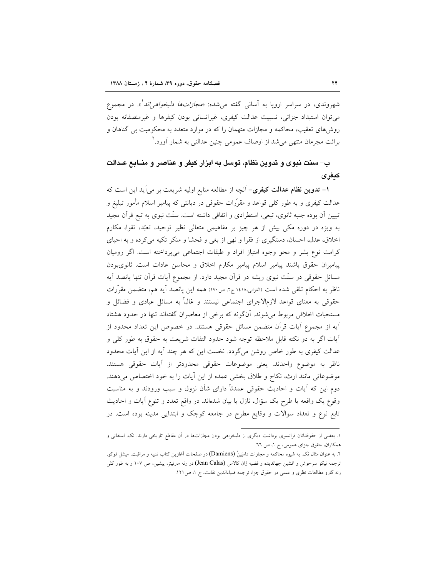شهروندي، در سراسر ارويا به آساني گفته مي *شده: «مجازاتها دلبخواهي اند* ً». در مجموع می توان استبداد جزائی، نسبیت عدالت کیفری، غیرانسانی بودن کیفرها و غیرمنصفانه بودن روش۵مای تعقیب، محاکمه و مجازات متهمان را که در موارد متعدد به محکومیت بی گناهان و برائت مجرمان منتهی می شد از اوصاف عمومی چنین عدالتی به شمار آورد."

## ب– سنت نبوی و تدوین نظام، توسل به ابزار کیفر و عناصر و منــابـع عــدالت كيفرى

۱– تدوین نظام عدالت کیفری– آنچه از مطالعه منابع اولیه شریعت بر می آید این است که عدالت کیفری و به طور کلی قواعد و مقرّرات حقوقی در دیانتی که پیامبر اسلام مأمور تبلیغ و تبیین اَن بوده جنبه ثانوی، تبعی، استطرادی و اتفاقی داشته است. سنّت نبوی به تبع قرآن مجید به ویژه در دوره مکی بیش از هر چیز بر مفاهیمی متعالی نظیر توحید، تعبّد، تقوا، مکارم اخلاق، عدل، احسان، دستگیری از فقرا و نهی از بغی و فحشا و منکر تکیه میکرده و به احیای كرامت نوع بشر و محو وجوه امتياز افراد و طبقات اجتماعي مي پرداخته است. اگر روميان پیامبران حقوق باشند پیامبر اسلام پیامبر مکارم اخلاق و محاسن عادات است. ثانوی بودن مسائل حقوقی در سنّت نبوی ریشه در قرآن مجید دارد. از مجموع آیات قرآن تنها پانصد آیه ناظر به احکام تلقی شده است (الغزالی،۱٤۱۸ ج۲، ص۱۷۰) همه این یانصد آیه هم، متضمن مقرَّرات حقوقی به معنای قواعد لازمالاجرای اجتماعی نیستند و غالباً به مسائل عبادی و فضائل و مستحبات اخلاقی مربوط میشوند. آنگونه که برخی از معاصران گفتهاند تنها در حدود هشتاد اّیه از مجموع اّیات قراّن متضمن مسائل حقوقی هستند. در خصوص این تعداد محدود از اَّيات اگر به دو نكته قابل ملاحظه توجه شود حدود التفات شريعت به حقوق به طور كلَّى و عدالت کیفری به طور خاص روشن میگردد. نخست این که هر چند آیه از این آیات محدود ناظر به موضوع واحدند. يعني موضوعات حقوقي محدودتر از آيات حقوقي هستند. موضوعاتی مانند ارث، نکاح و طلاق بخشی عمده از این آیات را به خود اختصاص میدهند. دوم این که آیات و احادیث حقوقی عمدتاً دارای شأن نزول و سبب ورودند و به مناسبت وقوع يک واقعه يا طرح يک سؤال، نازل يا بيان شدهاند. در واقع تعدد و تنوع أيات و احاديث تابع نوع و تعداد سوالات و وقایع مطرح در جامعه کوچک و ابتدایی مدینه بوده است. در

۱. بعضی از حقوقدانان فرانسوی برداشت دیگری از دلبخواهی بودن مجازاتها در آن مقاطع تاریخی دارند. نک. استفانی و همکاران، حقوق جزای عمومی، ج ١، ص ٦٦.

۲. به عنوان مثال نک. به شیوه محاکمه و مجازات دامیَینْ (Damiens) در صفحات آغازین کتاب تنبیه و مراقبت، میشل فوکو، ترجمه نیکو سرخوش و افشین جهاندیده و قضیه ژان کالاس (Jean Calas) در رنه مارتینژ، پیشین، ص ۱۰۷ و به طور کلی رنه گارو مطالعات نظری و عملی در حقوق جزا، ترجمه ضیاءالدین نقابت، ج ١، ص١٢١.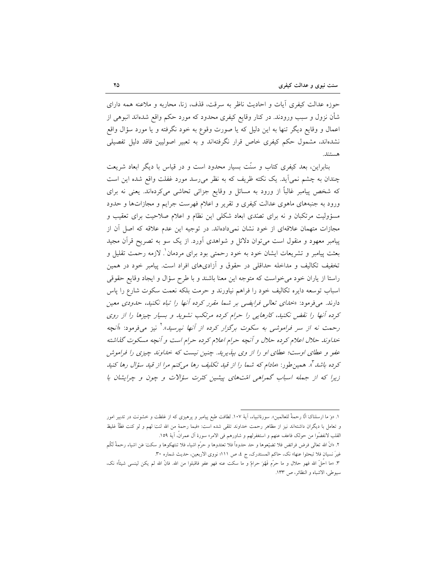حوزه عدالت كيفري أيات و احاديث ناظر به سرقت، قذف، زنا، محاربه و ملاعنه همه داراي شأن نزول و سبب ورودند. در کنار وقایع کیفری محدود که مورد حکم واقع شدهاند انبوهی از اعمال و وقایع دیگر تنها به این دلیل که یا صورت وقوع به خود نگرفته و یا مورد سؤال واقع نشدهاند، مشمول حکم کیفری خاص قرار نگرفتهاند و به تعبیر اصولیین فاقد دلیل تفصیلی هستند.

بنابراین، بعد کیفری کتاب و سنّت بسیار محدود است و در قیاس با دیگر ابعاد شریعت چندان به چشم نمی اید. یک نکته ظریف که به نظر می رسد مورد غفلت واقع شده این است که شخص پیامبر غالباً از ورود به مسائل و وقایع جزائی تحاشی میکردهاند. یعنی نه برای ورود به جنبههای ماهوی عدالت کیفری و تقریر و اعلام فهرست جرایم و مجازاتها و حدود مسؤولیت مرتکبان و نه برای تصّدی ابعاد شکلی این نظام و اعلام صلاحیت برای تعقیب و مجازات متهمان علاقهای از خود نشان نمیدادهاند. در توجیه این عدم علاقه که اصل آن از پیامبر معهود و منقول است می توان دلائل و شواهدی آورد. از یک سو به تصریح قرآن مجید بعثت پیامبر و تشریعات ایشان خود به خود رحمتی بود برای مردمان ْ. لازمه رحمت تقلیل و تخفیف تکالیف و مداخله حداقلی در حقوق و آزادیهای افراد است. پیامبر خود در همین راستا از یاران خود می خواست که متوجه این معنا باشند و با طرح سؤال و ایجاد وقایع حقوقی اسباب توسعه دايره تكاليف خود را فراهم نياورند و حرمت بلكه نعمت سكوت شارع را پاس دارند. می فرمود: «*خدای تعالی فرایضی بر شما مقرر کرده آنها را تباه نکنید، حدودی معین* کرده آنها را نقض نکنید، کارهایی را حرام کرده مرتکب نشوید و بسیار چیزها را از روی رحمت نه از سر فراموشی به سکوت برگزار کرده از آنها نپرسید».<sup>۲</sup> نیز میفرمود: «اَنچه خداوند حلال اعلام كرده حلال و آنچه حرام اعلام كرده حرام است و آنچه مسكوت گذاشته عفو و عطای اوست؛ عطای او را از وی بیذیرید. چنین نیست که خداوند چیزی را فراموش کرده باشد "». همین طور: «*مادام که شما را از قید تکلیف رها می کنم مرا از قید سؤال رها کنید* زیرا که از جمله اسباب گمراهی امّتهای پیشین کثرت سؤالات و چون و چرایشان با

١. «وَ ما ارسلناکَ الَّا رحمهٔ للعالمین». سورهٔانبیاء، اَیهٔ ١٠٧. لطافت طبع پیامبر و پرهیزی که از غلظت و خشونت در تدبیر امور و تعامل با ديگران داشتهاند نيز از مظاهر رحمت خداوند تلقى شده است: «فبما رحمهٔ من الله لنتَ لهم و لو كنت فظَّا غليظ القلب لانفضُّوا من حولک فاعف عنهم و استغفرلهم و شاورهم في الامر» سورهٔ آل عمران، آيهْ ١٥٩.

٢. «انَ الله تعالى فرض فرائض فلا تضيّعوها و حد حدوداً فلا تعتدوها و حرّم اشياء فلا تنتهكوها و سكتَ عَن اشياء رحمةً لَكُم غيرَ نسيان فلا تبحثوا عنها» نك، حاكم المستدرك، ج ٤، ص ١١١؛ نووي الاربعين، حديث شماره ٣٠.

٣. «ما احلَّ الله فهو حلال و ما حرَّم فَهُوَ حرامٌ و ما سكت عنه فهو عفو فاقبلوا من الله. فانَّ الله لم يكن لينسى شيئاً» نك، سيوطى، الاشباه و النظائر، ص ١٣٣.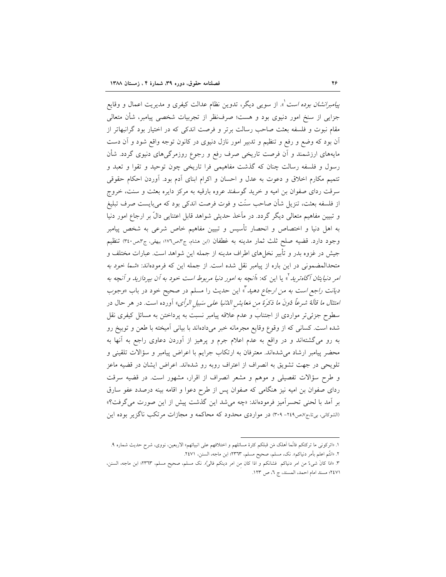*ییامبرانشان بوده است* ْ». از سویبی دیگر، تدوین نظام عدالت کیفری و مدیریت اعمال و وقایع جزایی از سنخ امور دنیوی بود و هست؛ صرفنظر از تجربیات شخصی پیامبر، شأن متعالی مقام نبوت و فلسفه بعثت صاحب رسالت برتر و فرصت اندکی که در اختیار بود گرانبهاتر از آن بود که وضع و رفع و تنظیم و تدبیر امور نازل دنیوی در کانون توجه واقع شود و آن دست مایههای ارزشمند و آن فرصت تاریخی صرف رفع و رجوع روزمرگیهای دنیوی گردد. شأن رسول و فلسفه رسالت چنان که گذشت مفاهیمی فرا تاریخی چون توحید و تقوا و تعبد و تتميم مكارم اخلاق و دعوت به عدل و احسان و اكرام ابناى أدم بود. أوردن احكام حقوقى سرقت ردای صفوان بن امیه و خرید گوسفند عروه بارقیه به مرکز دایره بعثت و سنت، خروج از فلسفه بعثت، تنزيل شأن صاحب سنّت و فوت فرصت اندكي بود كه مي!يست صرف تبليغ و تبیین مفاهیم متعالی دیگر گردد. در مآخذ حدیثی شواهد قابل اعتنایی دالٌ بر ارجاع امور دنیا به اهل دنیا و اختصاص و انحصار تأسیس و تبیین مفاهیم خاص شرعی به شخص پیامبر وجود دارد. قضيه صلح ثلث ثمار مدينه به غطفان (ابن هشام، ج٣مص١٧٦؛ بيهقي، ج٣مص٣٤٠) تنظيم جيش در غزوه بدر و تأبير نخلهاي اطراف مدينه از جمله اين شواهد است. عبارات مختلف و متحدالمضمونی در این باره از پیامبر نقل شده است. از جمله این که فرمودهاند: «*شما خود به امر دنیایتان آگاهترید*"، یا این که: «*آنچه به امور دنیا مربوط است خود به آن بپردازید و آنچه به* د*یانت راجع است به من ارجاع دهید* "، این حدیث را مسلم در صحیح خود در باب *«وجوب* امتثال م*ا قالة شرعاً دُونَ ما ذكرة من مَعايش اللثنيا على سَبيل الرأى»* أورده است. در هر حال در سطوح جزئیتر مواردی از اجتناب و عدم علاقه پیامبر نسبت به پرداختن به مسائل کیفری نقل شده است. کسانی که از وقوع وقایع مجرمانه خبر میدادهاند با بیانی آمیخته با طعن و توبیخ رو به رو میگشتهاند و در واقع به عدم اعلام جرم و پرهیز از آوردن دعاوی راجع به آنها به محضر پیامبر ارشاد میشدهاند. معترفان به ارتکاب جرایم با اعراض پیامبر و سؤالات تلقینی و تلویحی در جهت تشویق به انصراف از اعتراف روبه رو شدهاند. اعراض ایشان در قضیه ماعز و طرح سؤالات تفصیلی و موهم و مشعر انصراف از اقرار، مشهور است. در قضیه سرقت ردای صفوان بن امیه نیز هنگامی که صفوان پس از طرح دعوا و اقامه بینه درصدد عفو سارق بر آمد با لحني تحسراًميز فرمودهاند: «چه مي شد اين گذشت پيش از اين صورت مي گرفت؟» (الشوکانی، بیتا،ج۷،ص۲٤٩- ۳۰۹) در مواردی محدود که محاکمه و مجازات مرتکب ناگزیر بوده این

١. «اتركوني ما تركتكم فانَّما أهلك مَن قبلكم كثرة مسائلهم و اختلافهم على انبيائهم» الاربعين، نووى، شرح حديث شماره ٩. ٢. «انتُم اعلم بأمر دنياكم». نك، مسلم، صحيح مسلم، ٢٣٦٣؛ ابن ماجه، السنن، ٢٤٧١.

٣. «اذا كانَ شيءٌ من امر دنياكم فشانكم و اذا كان من امر دينكم فاليَّه. نك مسلم، صحيح مسلم، ٢٣٦٣؛ ابن ماجه، السنن، ٢٤٧١؛ مسند امام احمد، المسند، ج ٦، ص ١٢٣.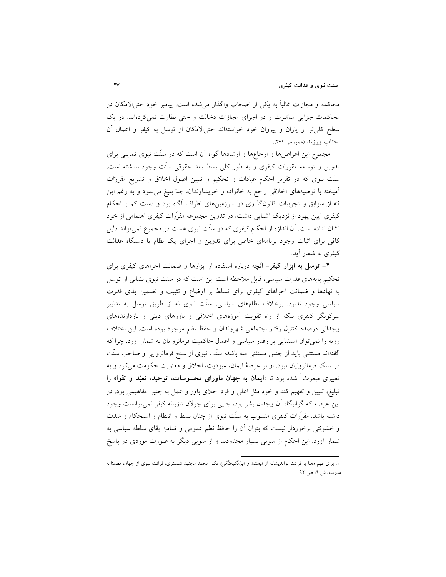محاکمه و مجازات غالباً به یکی از اصحاب واگذار می شده است. پیامبر خود حتی/لامکان در محاکمات جزایی مباشرت و در اجرای مجازات دخالت و حتی نظارت نمی کردهاند. در یک سطح کلی تر از یاران و پیروان خود خواستهاند حتیالامکان از توسل به کیفر و اعمال آن اجتاب ورزند (همو، ص ٢٧١).

مجموع این اعراضها و ارجاعها و ارشادها گواه آن است که در سُنّت نبوی تمایلی برای تدوین و توسعه مقررات کیفری و به طور کلی بسط بعد حقوقی سنّت وجود نداشته است. سنّت نبوی که در تقریر احکام عبادات و تحکیم و تبیین اصول اخلاق و تشریع مقررات آمیخته با توصیههای اخلاقی راجع به خانواده و خویشاوندان، جدّ بلیغ میiمود و به رغم این که از سوابق و تجربیات قانونگذاری در سرزمینهای اطراف آگاه بود و دست کم با احکام کیفری آیین یهود از نزدیک آشنایی داشت، در تدوین مجموعه مقرّرات کیفری اهتمامی از خود نشان نداده است. آن اندازه از احکام کیفری که در سنّت نبوی هست در مجموع نمی تواند دلیل کافی برای اثبات وجود برنامهای خاص برای تدوین و اجرای یک نظام یا دستگاه عدالت کىفرى پە شىمار آيد.

**۲- توسل به ابزار کیفر**– آنچه درباره استفاده از ابزارها و ضمانت اجراهای کیفری برای تحکیم پایههای قدرت سیاسی، قابل ملاحظه است این است که در سنت نبوی نشانی از توسل به نهادها و ضمانت اجراهای کیفری برای تسلط بر اوضاع و تثبیت و تضمین بقای قدرت سیاسی وجود ندارد. برخلاف نظامهای سیاسی، سنّت نبوی نه از طریق توسل به تدابیر سرکوبگر کیفری بلکه از راه تقویت اَموزههای اخلاقی و باورهای دینی و بازدارندههای وجداني درصدد كنترل رفتار اجتماعي شهروندان و حفظ نظم موجود بوده است. اين اختلاف رویه را نمی توان استثنایی بر رفتار سیاسی و اعمال حاکمیت فرمانروایان به شمار آورد. چرا که گفتهاند مستثنی باید از جنس مستثنی منه باشد؛ سنّت نبوی از سنخ فرمانروایی و صاحب سنّت در سلک فرمانروایان نبود. او بر عرصهٔ ایمان، عبودیت، اخلاق و معنویت حکومت میکرد و به تعبیری مبعوث<sup>\</sup> شده بود تا «**ایمان به جهان ماورای محسوسات، توحید، تعبّد و تقوا**» را تبلیغ، تبیین و تفهیم کند و خود مثل اعلی و فرد اجلای باور و عمل به چنین مفاهیمی بود. در این عرصه که گرانیگاه اَن وجدان بشر بود، جایی برای جولان تازیانه کیفر نمیتوانست وجود داشته باشد. مقرَّرات کیفری منسوب به سنَّت نبوی از چنان بسط و انتظام و استحکام و شدت و خشونتی برخوردار نیست که بتوان آن را حافظ نظم عمومی و ضامن بقای سلطه سیاسی به شمار آورد. این احکام از سویی بسیار محدودند و از سویی دیگر به صورت موردی در پاسخ

۱. برای فهم معنا یا قرائت نواندیشانه از *«بعث» و «برانگیختگی» ن*ک. محمد مجتهد شبستری، قرائت نبوی از جهان، فصلنامه مدرسه، ش ٦، ص ٩٢.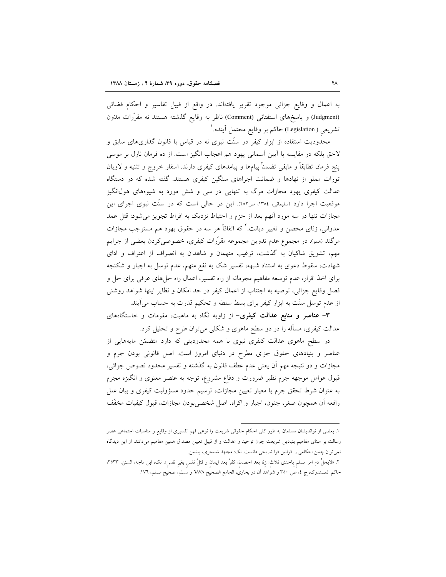به اعمال و وقایع جزائی موجود تقریر یافتهاند. در واقع از قبیل تفاسیر و احکام قضائی (Judgment) و پاسخهای استفتائی (Comment) ناظر به وقایع گذشته هستند نه مقرّرات مدّون تشريعي ( Legislation) حاكم بر وقايع محتمل آينده.'

محدودیت استفاده از ابزار کیفر در سنّت نبوی نه در قیاس با قانون گذاریهای سابق و لاحق بلکه در مقایسه با اَیین اَسمانی یهود هم اعجاب انگیز است. از ده فرمان نازل بر موسی پنج فرمان تطابقاً و مابقی تضمناً پیامها و پیامدهای کیفری دارند. اسفار خروج و تثنیه و لاویان تورات مملو از نهادها و ضمانت اجراهای سنگین کیفری هستند. گفته شده که در دستگاه عدالت کیفری یهود مجازات مرگ به تنهایی در سی و شش مورد به شیوههای هول|نگیز موقعیت اجرا دارد (سلیمانی، ۱۳۸٤، ص۲۸۲). این در حالی است که در سنّت نبوی اجرای این مجازات تنها در سه مورد آنهم بعد از حزم و احتیاط نزدیک به افراط تجویز می شود: قتل عمد عدواني، زناي محصن و تغيير ديانت.' كه اتفاقاً هر سه در حقوق يهود هم مستوجب مجازات مرگند (همو). در مجموع عدم تدوین مجموعه مقرّرات کیفری، خصوصیکردن بعضی از جرایم مهم، تشویق شاکیان به گذشت، ترغیب متهمان و شاهدان به انصراف از اعتراف و ادای شهادت، سقوط دعوی به استناد شبهه، تفسیر شک به نفع متهم، عدم توسل به اجبار و شکنجه برای اخذ اقرار، عدم توسعه مفاهیم مجرمانه از راه تفسیر، اعمال راه حلهای عرفی برای حل و فصل وقايع جزائي، توصيه به اجتناب از اعمال كيفر در حد امكان و نظاير اينها شواهد روشني از عدم توسل سنّت به ابزار کیفر برای بسط سلطه و تحکیم قدرت به حساب می]یند.

۳- عناصر و منابع عدالت کیفری- از زاویه نگاه به ماهیت، مقومات و خاستگاههای عدالت کیفری، مسأله را در دو سطح ماهوی و شکلی میتوان طرح و تحلیل کرد.

در سطح ماهوی عدالت کیفری نبوی با همه محدودیتی که دارد متضمّن مایههایی از عناصر و بنیادهای حقوق جزای مطرح در دنیای امروز است. اصل قانونی بودن جرم و مجازات و دو نتيجه مهم أن يعني عدم عطف قانون به گذشته و تفسير محدود نصوص جزائي، قبول عوامل موجهه جرم نظیر ضرورت و دفاع مشروع، توجه به عنصر معنوی و انگیزه مجرم به عنوان شرط تحقق جرم یا معیار تعیین مجازات، ترسیم حدود مسؤولیت کیفری و بیان علل رافعه أن همچون صغر، جنون، اجبار و اكراه، اصل شخصي بودن مجازات، قبول كيفيات مخفَّف

١. بعضي از نوانديشان مسلمان به طور كلي احكام حقوقي شريعت را نوعي فهم تفسيري از وقايع و مناسبات اجتماعي عصر رسالت بر مبنای مفاهیم بنیادین شریعت چون توحید و عدالت و از قبیل تعیین مصداق همین مفاهیم میدانند. از این دیدگاه نمی توان چنین احکامی را قوانین فرا تاریخی دانست. نک: مجتهد شبستری، پیشین.

٢. «لايحلُّ دم امر مسلم باحدى ثلاث: زنا بعد احصان، كفرَّ بعد ايمان و قتلٌ نفس بغير نفس». نك، ابن ماجه، السنن، ٢٥٣٣؛ حاكم المستدرك، ج ٤، ص ٣٥٠ و شواهد أن در بخارى، الجامع الصحيح ٦٨٧٨ و مسلم، صحيح مسلم، ١٧٦.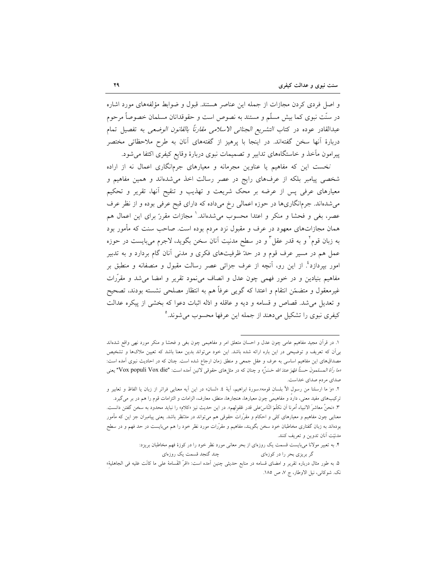و اصل فردی کردن مجازات از جمله این عناصر هستند. قبول و ضوابط مؤلفههای مورد اشاره در سنّت نبوی کما بیش مسلّم و مستند به نصوص است و حقوقدانان مسلمان خصوصاً مرحوم عبدالقادر عوده در كتاب *التشريع الجنائي الاسلامي مقارناً بالقانون الوضعى* به تفصيل تمام دربارهٔ آنها سخن گفتهاند. در اینجا با پرهیز از گفتههای آنان به طرح ملاحظاتی مختصر پیرامون مأخذ و خاستگاههای تدابیر و تصمیمات نبوی دربارهٔ وقایع کیفری اکتفا می شود.

نخست این که مفاهیم یا عناوین مجرمانه و معیارهای جرمانگاری اعمال نه از اراده شخصی پیامبر بلکه از عرفهای رایج در عصر رسالت اخذ میشدهاند و همین مفاهیم و معیارهای عرفی پس از عرضه بر محک شریعت و تهذیب و تنقیح أنها، تقریر و تحکیم میشدهاند. جرمانگاریها در حوزه اعمالی رخ میداده که دارای قبح عرفی بوده و از نظر عرف عصر، بغی و فحشا و منکر و اعتدا محسوب میشدهاند.` مجازات مقرر ّ برای این اعمال هم همان مجازاتهای معهود در عرف و مقبول نزد مردم بوده است. صاحب سنت که مأمور بود به زبان قوم<sup>٬</sup> و به قدر عقل ؓ و در سطح مدنیت اَنان سخن بگوید، لاجرم میبایست در حوزه عمل هم در مسیر عرف قوم و در حدّ ظرفیتهای فکری و مدنی آنان گام بردارد و به تدبیر امور بپردازد<sup>؟</sup>. از این رو، آنچه از عرف جزائی عصر رسالت مقبول و منصفانه و منطبق بر مفاهیم بنیادین و در خور فهمی چون عدل و انصاف می،نمود تقریر و امضا می شد و مقرّرات غیرمعقول و متضمّن انتقام و اعتدا که گویبی عرفاً هم به انتظار مصلحی نشسته بودند، تصحیح و تعدیل می شد. قصاص و قسامه و دیه و عاقله و ادّله اثبات دعوا که بخشی از پیکره عدالت کیفری نبوی را تشکیل میدهند از جمله این عرفها محسوب میشوند.°

۱. در قرأن مجید مفاهیم عامی چون عدل و احسان متعلق امر و مفاهیمی چون بغی و فحشا و منکر مورد نهی واقع شدهاند بیمآن که تعریف و توضیحی در این باره ارائه شده باشد. این خود میتواند بدین معنا باشد که تعیین ملاکها و تشخیص مصداقهای این مفاهیم اساسی به عرف و عقل جمعی و منطق زمان ارجاع شده است. چنان که در احادیث نبوی آمده است: «ما رأة المسلمونَ حسناً فهُوَ عندَ الله حَسَنٌ» و چنان كه در مثلهاى حقوقى لاتين أمده است: "Vox populi Vox die" يعنى صدای مردم صدای خداست.

٢. «وَ ما ارسلنا من رسول الأ بلسان قومه».سورة ابراهيم، أيهْ ٤. «لسان» در اين أيه معنايي فراتر از زبان يا الفاظ و تعابير و ترکیبهای مفید معنی، دارد و مفاهیمی چون معیارها، هنجارها، منطق، معارف، الزامات و التزامات قوم را هم در بر می گیرد. ٣. «نحنٌ معاشرَ الانبياء أمرنا أن نكلَمَ النّاسَ على قدر عُقولهم». در اين حديث نيز «كلام» را نبايد محدود به سخن گفتن دانست. معنایی چون مفاهیم و معیارهای کلی و احکام و مقرّرات حقوقی هم می¤واند در مدّنظر باشد. یعنی پیامبران جز این که مأمور بودهاند به زبان گفتاری مخاطبان خود سخن بگویند، مفاهیم و مقرّرات مورد نظر خود را هم میبایست در حد فهم و در سطح مدنيّت آنان تدوين و تعريف كنند.

۴. به تعبیر مولانا میبایست قسمت یک روزمای از بحر معانی مورد نظر خود را در کوزهٔ فهم مخاطبان بریزد: چند گنجد قسمت یک روزہای گر بریزی بحر را در کوزهای

۵. به طور مثال درباره تقریر و امضای قسامه در منابع حدیثی چنین اَمده است: «اقرّ القَسامهٔ علی ما کانَت عَلیه فی الجاهلیهٔ» نک. شوکانی، نیل الاوطار، ج ۷، ص ۱۸۵.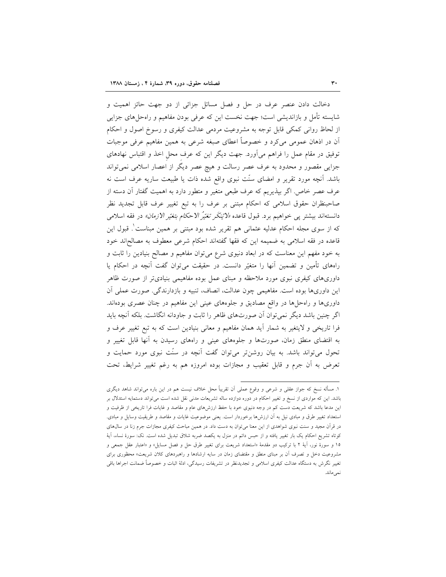دخالت دادن عنصر عرف در حل و فصل مسائل جزائی از دو جهت حائز اهمیت و شایسته تأمل و بازاندیشی است؛ جهت نخست این که عرفی بودن مفاهیم و راهحلهای جزایی از لحاظ روانی کمکی قابل توجه به مشروعیت مردمی عدالت کیفری و رسوخ اصول و احکام اّن در اذهان عمومی میکرد و خصوصاً اعطای صبغه شرعی به همین مفاهیم عرفی موجبات توفیق در مقام عمل را فراهم میآورد. جهت دیگر این که عرف محل اخذ و اقتباس نهادهای جزایی مقصور و محدود به عرف عصر رسالت و هیچ عصر دیگر از اعصار اسلامی نمی تواند باشد. آنچه مورد تقریر و امضای سنّت نبوی واقع شده ذات یا طبیعت ساریه عرف است نه عرف عصر خاص. اگر بپذیریم که عرف طبعی متغیر و متطور دارد به اهمیت گفتار آن دسته از صاحبنظران حقوق اسلامی که احکام مبتنی بر عرف را به تبع تغییر عرف قابل تجدید نظر دانستهاند بیشتر پی خواهیم برد. قبول قاعده *«لائ*نکَر *تغیّرُ الاحکام بتغیّر الازمان»* در فقه اسلامی که از سوی مجله احکام عدلیه عثمانی هم تقریر شده بود مبتنی بر همین مبناست ْ. قبول این قاعده در فقه اسلامی به ضمیمه این که فقها گفتهاند احکام شرعی معطوف به مصالحاند خود به خود مفهم این معناست که در ابعاد دنیوی شرع میتوان مفاهیم و مصالح بنیادین را ثابت و راههای تأمین و تضمین آنها را متغیّر دانست. در حقیقت می توان گفت آنچه در احکام یا داوریهای کیفری نبوی مورد ملاحظه و مبنای عمل بوده مفاهیمی بنیادیتر از صورت ظاهر این داوریها بوده است. مفاهیمی چون عدالت، انصاف، تنبیه و بازدارندگی. صورت عملی آن داوریها و راهحلها در واقع مصادیق و جلوههای عینی این مفاهیم در چنان عصری بودهاند. اگر چنین باشد دیگر نمیتوان آن صورتهای ظاهر را ثابت و جاودانه انگاشت. بلکه آنچه باید فرا تاریخی و لایتغیر به شمار آید همان مفاهیم و معانی بنیادین است که به تبع تغییر عرف و به اقتضای منطق زمان، صورتها و جلوههای عینی و راههای رسیدن به آنها قابل تغییر و تحول می تواند باشد. به بیان روشن تر می توان گفت آنچه در سنّت نبوی مورد حمایت و تعرض به آن جرم و قابل تعقيب و مجازات بوده امروزه هم به رغم تغيير شرايط، تحت

١. مسأله نسخ كه جواز عقلي و شرعي و وقوع عملي أن تقريباً محل خلاف نيست هم در اين باره مي تواند شاهد ديگري باشد. این که مواردی از نسخ و تغییر احکام در دوره دوازده ساله تشریعات مدنی نقل شده است میتواند دستمایه استدلال بر این مدعا باشد که شریعت دست کم در وجه دنیوی خود با حفظ ارزشرهای عام و مقاصد و غایات فرا تاریخی از ظرفیت و استعداد تغییر طرق و مبادی نیل به آن ارزشها برخوردار است. یعنی موضوعیت غایات و مقاصد و طریقیت وسایل و مبادی. در قرآن مجید و سنت نبوی شواهدی از این معنا میتوان به دست داد. در همین مباحث کیفری مجازات جرم زنا در سال۵ای کوتاه تشریع احکام یک بار تغییر یافته و از حبس دائم در منزل به یکصد ضربه شلاق تبدیل شده است. نک: سورهٔ نساء، اَیهٔ ۱۵ و سورهٔ نور، آیهٔ ۲ با ترکیب دو مقدمهٔ «استعداد شریعت برای تغییر طرق حل و فصل مسایل» و «اعتبار عقل جمعی و مشروعیت دخل و تصرف آن بر مبنای منطق و مقتضای زمان در سایه ارشادها و راهبردهای کلان شریعت» محظوری برای تغییر نگرش به دستگاه عدالت کیفری اسلامی و تجدیدنظر در تشریفات رسیدگی، ادلهٔ اثبات و خصوصاً ضمانت اجراها باقی نمىماند.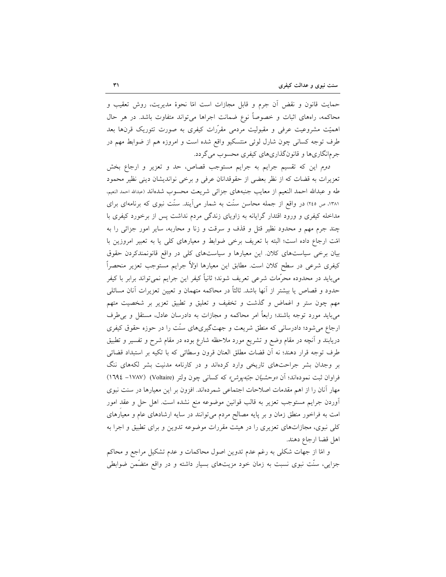حمايت قانون و نقض أن جرم و قابل مجازات است امّا نحوهٔ مديريت، روش تعقيب و محاکمه، راههای اثبات و خصوصاً نوع ضمانت اجراها می تواند متفاوت باشد. در هر حال اهمیّت مشروعیت عرفی و مقبولیت مردمی مقرّرات کیفری به صورت تئوریک قرنها بعد طرف توجه کسانی چون شارل لوئی منتسکیو واقع شده است و امروزه هم از ضوابط مهم در جرمانگاريها و قانونگذاريهاي كيفري محسوب مي گردد.

دوم این که تقسیم جرایم به جرایم مستوجب قصاص، حد و تعزیر و ارجاع بخش تعزیرات به قضات که از نظر بعضی از حقوقدانان عرفی و برخی نواندیشان دینی نظیر محمود طه و عبدالله احمد النعيم از معايب جنبههاى جزائى شريعت محسوب شدهاند (عبداله احمد النعيم، ۱۳۸۱، ص ٢٤٥) در واقع از جمله محاسن سنّت به شمار می اَیند. سنّت نبوی که برنامهای برای مداخله کیفری و ورود اقتدار گرایانه به زاویای زندگی مردم نداشت پس از برخورد کیفری با چند جرم مهم و محدود نظیر قتل و قذف و سرقت و زنا و محاربه، سایر امور جزائی را به امّت ارجاع داده است؛ البته با تعريف برخي ضوابط و معيارهاي كلي يا به تعبير امروزين با بیان برخی سیاستهای کلان. این معیارها و سیاستهای کلی در واقع قانونمندکردن حقوق کیفری شرعی در سطح کلان است. مطابق این معیارها اولاً جرایم مستوجب تعزیر منحصراً میباید در محدوده محرَّمات شرعی تعریف شوند؛ ثانیاً کیفر این جرایم نمیتواند برابر با کیفر حدود و قصاص یا بیشتر از آنها باشد. ثالثاً در محاکمه متهمان و تعیین تعزیرات آنان مسائلی مهم چون ستر و اغماض و گذشت و تخفیف و تعلیق و تطبیق تعزیر بر شخصیت متهم میباید مورد توجه باشند؛ رابعاً امر محاکمه و مجازات به دادرسان عادل، مستقل و بی طرف ارجاع میشود؛ دادرسانی که منطق شریعت و جهتگیریهای سنّت را در حوزه حقوق کیفری دریابند و اّنچه در مقام وضع و تشریع مورد ملاحظه شارع بوده در مقام شرح و تفسیر و تطبیق طرف توجه قرار دهند؛ نه أن قضات مطلق العنان قرون وسطائي كه با تكيه بر استبداد قضائي بر وجدان بشر جراحتهای تاریخی وارد کردهاند و در کارنامه مدنیت بشر لکههای ننگ فراوان ثبت نمودهاند؛ أن *«وحشيان جُبّهيوش»* كه كساني چون ولتر (Voltaire) (١٧٨٧– ١٦٩٤) مهار آنان را از اهم مقدمات اصلاحات اجتماعی شمردهاند. افزون بر این معیارها در سنت نبوی أوردن جرايم مستوجب تعزير به قالب قوانين موضوعه منع نشده است. اهل حل و عقد امور امت به فراخور منطق زمان و بر پایه مصالح مردم می توانند در سایه ارشادهای عام و معیارهای کلی نبوی، مجازاتهای تعزیری را در هیئت مقررات موضوعه تدوین و برای تطبیق و اجرا به اهل قضا ارجاع دهند.

و امّا از جهات شکلی به رغم عدم تدوین اصول محاکمات و عدم تشکیل مراجع و محاکم جزایی، سنّت نبوی نسبت به زمان خود مزیتهای بسیار داشته و در واقع متضّمن ضوابطی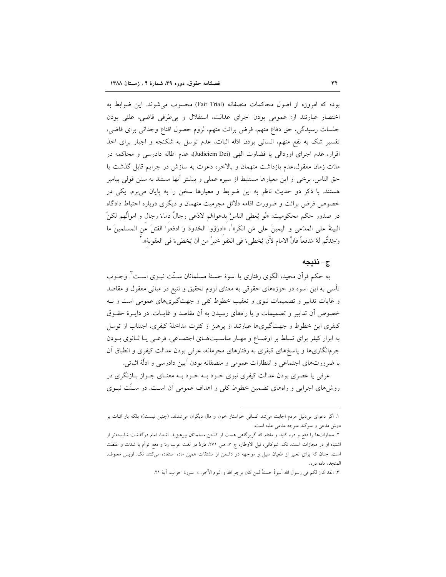بوده كه امروزه از اصول محاكمات منصفانه (Fair Trial) محسوب مي شوند. اين ضوابط به اختصار عبارتند از: عمومي بودن اجراى عدالت، استقلال و بى طرفى قاضى، علنى بودن جلسات رسیدگی، حق دفاع متهم، فرض برائت متهم، لزوم حصول اقناع وجدانی برای قاضی، تفسیر شک به نفع متهم، انسانی بودن ادّله اثبات، عدم توسل به شکنجه و اجبار برای اخذ اقرار، عدم اجراى اوردالى يا قضاوت الهى (Judiciem Dei)، عدم اطاله دادرسى و محاكمه در مدّت زمان معقول،عدم بازداشت متهمان و بالاخره دعوت به سازش در جرايم قابل گذشت يا حق الناس. برخی از این معیارها مستنبط از سیره عملی و بیشتر آنها مستند به سنن قولی پیامبر هستند. با ذکر دو حدیث ناظر به این ضوابط و معیارها سخن را به پایان می برم. یکی در خصوص فرض برائت و ضرورت اقامه دلائل مجرمیت متهمان و دیگری درباره احتیاط دادگاه در صدور حكم محكوميت: «لَو يُعطى الناسُ بدعواهُم لادَّعى رجالٌ دماءَ رجال و اموالُهم لكنّ البينةَ على المدَّعي و اليمينَ على مَن انكَر»'، «ادرَؤوا الحُدودَ وَ ادفعوا القتلَ عَن المسلمينَ ما وَجَدتُم لَهُ مَدفعاً فانَّ الامام لأن يُخطىءَ في العَفو خيرٌ من أن يُخطىءَ في العقوبة». "

## ج-نتىجە

به حکم قرآن مجید، الگوی رفتاری یا اسوهٔ حسنهٔ مسلمانان سـنّت نبــوی اســت ٌ. وجــوب تأسی به این اسوه در حوزههای حقوقی به معنای لزوم تحقیق و تتبع در مبانی معقول و مقاصد و غایات تدابیر و تصمیمات نبوی و تعقیب خطوط کلی و جهتگیریهای عمومی است و نـه خصوص أن تدابير و تصميمات و يا راههاي رسيدن به أن مقاصد و غايــات. در دايــرۀ حقــوق کیفری این خطوط و جهتگیریها عبارتند از پرهیز از کثرت مداخلهٔ کیفری، اجتناب از توسل به ابزار کیفر برای تسلط بر اوضاع و مهـار مناسـبتهـای اجتمـاعی، فرعـی یـا ثـانوی بـودن جرمانگاریها و پاسخهای کیفری به رفتارهای مجرمانه، عرفی بودن عدالت کیفری و انطباق آن با ضرورتهای اجتماعی و انتظارات عمومی و منصفانه بودن آیین دادرسی و ادلّهٔ اثباتی.

عرفی یا عصری بودن عدالت کیفری نبوی خــود بــه خــود بــه معنــای جــواز بــازنگری در روش های اجرایی و راههای تضمین خطوط کلی و اهداف عمومی آن است. در سـنّت نبـوی

١. اگر دعوای بی دلیل مردم اجابت می شد کسانی خواستار خون و مال دیگران می شدند. (چنین نیست)؛ بلکه بار اثبات بر دوش مدعی و سوگند متوجه مدعی علیه است.

۲. مجازاتها را دفع و درء کنید و مادام که گریزگاهی هست از کشتن مسلمانان بپرهیزید. اشتباه امام درگذشت شایستهتر از اشتباه او در مجازات است. نک. شوکانی، نیل الاوطار، ج ۷، ص ۲۷۱. دَرءْ در لغت عرب ردّ و دفع توأم با شدّت و غلظت است. چنان که برای تعبیر از طغیان سیل و مواجهه دو دشمن از مشتقات همین ماده استفاده میکنند نک. لویس معلوف، المنجد، ماده درء.

٣. «لقد كان لكم في رسول الله أسوةٌ حسنةٌ لمن كان يرجو اللهَ و اليوم الآخر...». سورة احزاب، آية ٢١.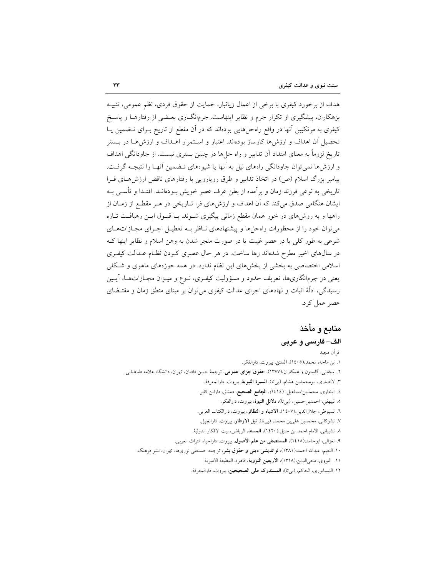هدف از برخورد کیفری با برخی از اعمال زیانبار، حمایت از حقوق فردی، نظم عمومی، تنبیـه بزهکاران، پیشگیری از تکرار جرم و نظایر اینهاست. جرمانگــاری بعــضی از رفتارهــا و پاســخ کیفری به مرتکبین آنها در واقع راهحلهایی بودهاند که در آن مقطع از تاریخ بـرای تـضمین یـا تحصیل آن اهداف و ارزشها کارساز بودهاند. اعتبار و استمرار اهـداف و ارزشهـا در بــستر تاریخ لزوماً به معنای امتداد آن تدابیر و راه حلها در چنین بستری نیست. از جاودانگی اهداف و ارزش ها نمی توان جاودانگی راههای نیل به آنها یا شیوههای تـضمین آنهـا را نتیجـه گرفـت. پیامبر بزرگ اسلام (ص) در اتخاذ تدابیر و طرق رویارویی با رفتارهای ناقض ارزش های فـرا تاریخی به نوعی فرزند زمان و برآمده از بطن عرف عصر خویش بـودهانــد. اقتــدا و تأســی بــه ایشان هنگامی صدق میکند که آن اهداف و ارزشهای فرا تـاریخی در هـر مقطـع از زمـان از راهها و به روش۵ای در خور همان مقطع زمانی پیگیری شـوند. بـا قبـول ایـن رهیافـت تـازه می توان خود را از محظورات راهحلها و پیشنهادهای نـاظر بــه تعطیــل اجــرای مجــازاتهــای شرعی به طور کلّی یا در عصر غیبت یا در صورت منجر شدن به وهن اسلام و نظایر اینها ک در سالهای اخیر مطرح شدهاند رها ساخت. در هر حال عصری کـردن نظـام عـدالت کیفـری اسلامی اختصاصی به بخشی از بخشهای این نظام ندارد. در همه حوزههای ماهوی و شکلی یعنی در جرمانگاریها، تعریف حدود و مسؤولیت کیفـری، نــوع و میــزان مجــازاتهــا، آیــین رسیدگی، ادلَّهٔ اثبات و نهادهای اجرای عدالت کیفری می توان بر مبنای منطق زمان و مقتـضای عصر عمل کرد.

# منابع و مأخذ الف- فارسي و عربي

قر اَن مجيد ١. ابن ماجه، محمد،(١٤٠٥)، السنن، بيروت، دارالفكر. ۲. استفانی، گاستون و همکاران،(۱۳۷۷)، <mark>حقوق جزای عمومی</mark>، ترجمهٔ حسن دادبان، تهران، دانشگاه علامه طباطبایی<sub>.</sub> ٣. الانصاري، ابومحمدبن هشام، (بيتا)، **السيرة النبوية**، بيروت، دارالمعرفة. ٤. البخاري، محمدبن|سماعيل، (١٤١٤)، **الجامع الصحيح**، دمشق، دارابن كثير. ٥. البيهقي، احمدبن حسين، (بي تا)، **دلائل النبو**هٔ، بيروت، دارالفكر. ٦. السيوطي، جلالالدين،(١٤٠٧)، **الاشباه و النظائر**، بيروت، دارالكتاب العربي.

٧. الشوكاني، محمدبن عليبن محمد، (بيتا)، **نيل الاوطار**، بيروت، دارالجيل.

٨. الشيباني، الامام احمد بن حنبل،(١٤٢٠)، المسند، الرياض، بيت الافكار الدولية.

٩. الغزالي، ابوحامد،(١٤١٨)، المستصفى من علم الاصول، بيروت، داراحياء التراث العربي.

۱۰. النعیم، عبدالله احمد،( ۱۳۸۱)، **نواندیشی دینی و حقوق بشر**، ترجمه حسنعلی نوریها، تهران، نشر فرهنگ.

١١. النووي، محيالدين،(١٣١٨)، الاربعين النووية، قاهره، المطبعة الاميرية.

١٢. النيسابوري، الحاكم، (بيتا)، **المستدرك على الصحيحين**، بيروت، دارالمعرفة.